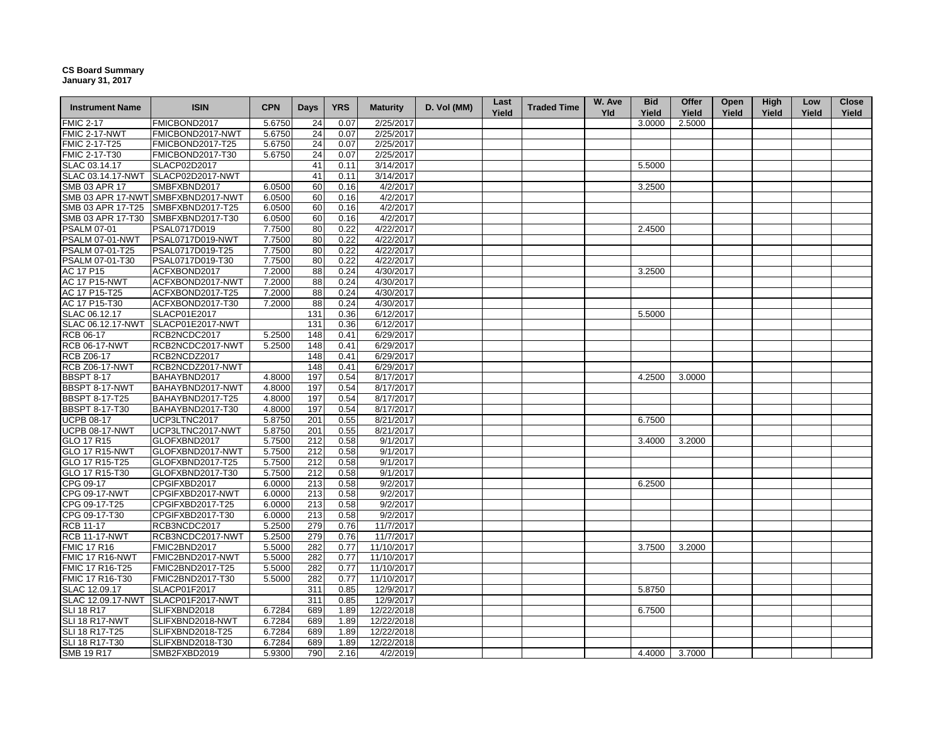## **CS Board Summary January 31, 2017**

| <b>Instrument Name</b>              | <b>ISIN</b>                        | <b>CPN</b>       | <b>Days</b> | <b>YRS</b>   | <b>Maturity</b> | D. Vol (MM) | Last<br>Yield | <b>Traded Time</b> | W. Ave<br>Yld | <b>Bid</b><br>Yield | Offer<br>Yield | Open<br>Yield | High<br>Yield | Low<br>Yield | <b>Close</b><br>Yield |
|-------------------------------------|------------------------------------|------------------|-------------|--------------|-----------------|-------------|---------------|--------------------|---------------|---------------------|----------------|---------------|---------------|--------------|-----------------------|
| <b>FMIC 2-17</b>                    | FMICBOND2017                       | 5.6750           | 24          | 0.07         | 2/25/2017       |             |               |                    |               | 3.0000              | 2.5000         |               |               |              |                       |
| FMIC 2-17-NWT                       | FMICBOND2017-NWT                   | 5.6750           | 24          | 0.07         | 2/25/2017       |             |               |                    |               |                     |                |               |               |              |                       |
| FMIC 2-17-T25                       | FMICBOND2017-T25                   | 5.6750           | 24          | 0.07         | 2/25/2017       |             |               |                    |               |                     |                |               |               |              |                       |
| FMIC 2-17-T30                       | FMICBOND2017-T30                   | 5.6750           | 24          | 0.07         | 2/25/2017       |             |               |                    |               |                     |                |               |               |              |                       |
| SLAC 03.14.17                       | SLACP02D2017                       |                  | 41          | 0.11         | 3/14/2017       |             |               |                    |               | 5.5000              |                |               |               |              |                       |
| SLAC 03.14.17-NWT                   | SLACP02D2017-NWT                   |                  | 41          | 0.11         | 3/14/2017       |             |               |                    |               |                     |                |               |               |              |                       |
| SMB 03 APR 17                       | SMBFXBND2017                       | 6.0500           | 60          | 0.16         | 4/2/2017        |             |               |                    |               | 3.2500              |                |               |               |              |                       |
|                                     | SMB 03 APR 17-NWT SMBFXBND2017-NWT | 6.0500           | 60          | 0.16         | 4/2/2017        |             |               |                    |               |                     |                |               |               |              |                       |
|                                     | SMB 03 APR 17-T25 SMBFXBND2017-T25 | 6.0500           | 60          | 0.16         | 4/2/2017        |             |               |                    |               |                     |                |               |               |              |                       |
| SMB 03 APR 17-T30                   | SMBFXBND2017-T30                   | 6.0500           | 60          | 0.16         | 4/2/2017        |             |               |                    |               |                     |                |               |               |              |                       |
| <b>PSALM 07-01</b>                  | PSAL0717D019                       | 7.7500           | 80          | 0.22         | 4/22/2017       |             |               |                    |               | 2.4500              |                |               |               |              |                       |
| PSALM 07-01-NWT                     | PSAL0717D019-NWT                   | 7.7500           | 80          | 0.22         | 4/22/2017       |             |               |                    |               |                     |                |               |               |              |                       |
| PSALM 07-01-T25                     | PSAL0717D019-T25                   | 7.7500           | 80          | 0.22         | 4/22/2017       |             |               |                    |               |                     |                |               |               |              |                       |
| PSALM 07-01-T30                     | PSAL0717D019-T30                   | 7.7500           | 80          | 0.22         | 4/22/2017       |             |               |                    |               |                     |                |               |               |              |                       |
| AC 17 P15                           | ACFXBOND2017                       | 7.2000           | 88          | 0.24         | 4/30/2017       |             |               |                    |               | 3.2500              |                |               |               |              |                       |
| AC 17 P15-NWT                       | ACFXBOND2017-NWT                   | 7.2000           | 88          | 0.24         | 4/30/2017       |             |               |                    |               |                     |                |               |               |              |                       |
| AC 17 P15-T25                       | ACFXBOND2017-T25                   | 7.2000           | 88          | 0.24         | 4/30/2017       |             |               |                    |               |                     |                |               |               |              |                       |
| AC 17 P15-T30                       | ACFXBOND2017-T30                   | 7.2000           | 88          | 0.24         | 4/30/2017       |             |               |                    |               |                     |                |               |               |              |                       |
| SLAC 06.12.17                       | SLACP01E2017                       |                  | 131         | 0.36         | 6/12/2017       |             |               |                    |               | 5.5000              |                |               |               |              |                       |
| SLAC 06.12.17-NWT                   | SLACP01E2017-NWT                   |                  | 131         | 0.36         | 6/12/2017       |             |               |                    |               |                     |                |               |               |              |                       |
| RCB 06-17                           | RCB2NCDC2017                       | 5.2500           | 148         | 0.41         | 6/29/2017       |             |               |                    |               |                     |                |               |               |              |                       |
| <b>RCB 06-17-NWT</b>                | RCB2NCDC2017-NWT                   | 5.2500           | 148         | 0.41         | 6/29/2017       |             |               |                    |               |                     |                |               |               |              |                       |
| <b>RCB Z06-17</b>                   | RCB2NCDZ2017                       |                  | 148         | 0.41         | 6/29/2017       |             |               |                    |               |                     |                |               |               |              |                       |
| <b>RCB Z06-17-NWT</b>               | RCB2NCDZ2017-NWT                   |                  | 148         | 0.41         | 6/29/2017       |             |               |                    |               |                     |                |               |               |              |                       |
| <b>BBSPT 8-17</b>                   | BAHAYBND2017                       | 4.8000           | 197         | 0.54         | 8/17/2017       |             |               |                    |               | 4.2500              | 3.0000         |               |               |              |                       |
| BBSPT 8-17-NWT                      | BAHAYBND2017-NWT                   | 4.8000           | 197         | 0.54         | 8/17/2017       |             |               |                    |               |                     |                |               |               |              |                       |
| <b>BBSPT 8-17-T25</b>               | BAHAYBND2017-T25                   | 4.8000           | 197         | 0.54         | 8/17/2017       |             |               |                    |               |                     |                |               |               |              |                       |
| <b>BBSPT 8-17-T30</b>               | BAHAYBND2017-T30                   | 4.8000           | 197         | 0.54         | 8/17/2017       |             |               |                    |               |                     |                |               |               |              |                       |
| <b>UCPB 08-17</b>                   | UCP3LTNC2017                       | 5.8750           | 201         | 0.55         | 8/21/2017       |             |               |                    |               | 6.7500              |                |               |               |              |                       |
|                                     | UCP3LTNC2017-NWT                   |                  |             |              | 8/21/2017       |             |               |                    |               |                     |                |               |               |              |                       |
| <b>UCPB 08-17-NWT</b><br>GLO 17 R15 | GLOFXBND2017                       | 5.8750<br>5.7500 | 201<br>212  | 0.55<br>0.58 | 9/1/2017        |             |               |                    |               | 3.4000              | 3.2000         |               |               |              |                       |
|                                     |                                    |                  |             |              |                 |             |               |                    |               |                     |                |               |               |              |                       |
| GLO 17 R15-NWT                      | GLOFXBND2017-NWT                   | 5.7500           | 212         | 0.58         | 9/1/2017        |             |               |                    |               |                     |                |               |               |              |                       |
| GLO 17 R15-T25                      | GLOFXBND2017-T25                   | 5.7500           | 212         | 0.58         | 9/1/2017        |             |               |                    |               |                     |                |               |               |              |                       |
| GLO 17 R15-T30                      | GLOFXBND2017-T30                   | 5.7500           | 212         | 0.58         | 9/1/2017        |             |               |                    |               |                     |                |               |               |              |                       |
| CPG 09-17                           | CPGIFXBD2017                       | 6.0000           | 213         | 0.58         | 9/2/2017        |             |               |                    |               | 6.2500              |                |               |               |              |                       |
| CPG 09-17-NWT                       | CPGIFXBD2017-NWT                   | 6.0000           | 213         | 0.58         | 9/2/2017        |             |               |                    |               |                     |                |               |               |              |                       |
| CPG 09-17-T25                       | CPGIFXBD2017-T25                   | 6.0000           | 213         | 0.58         | 9/2/2017        |             |               |                    |               |                     |                |               |               |              |                       |
| CPG 09-17-T30                       | CPGIFXBD2017-T30                   | 6.0000           | 213         | 0.58         | 9/2/2017        |             |               |                    |               |                     |                |               |               |              |                       |
| <b>RCB 11-17</b>                    | RCB3NCDC2017                       | 5.2500           | 279         | 0.76         | 11/7/2017       |             |               |                    |               |                     |                |               |               |              |                       |
| <b>RCB 11-17-NWT</b>                | RCB3NCDC2017-NWT                   | 5.2500           | 279         | 0.76         | 11/7/2017       |             |               |                    |               |                     |                |               |               |              |                       |
| <b>FMIC 17 R16</b>                  | FMIC2BND2017                       | 5.5000           | 282         | 0.77         | 11/10/2017      |             |               |                    |               | 3.7500              | 3.2000         |               |               |              |                       |
| <b>FMIC 17 R16-NWT</b>              | FMIC2BND2017-NWT                   | 5.5000           | 282         | 0.77         | 11/10/2017      |             |               |                    |               |                     |                |               |               |              |                       |
| FMIC 17 R16-T25                     | FMIC2BND2017-T25                   | 5.5000           | 282         | 0.77         | 11/10/2017      |             |               |                    |               |                     |                |               |               |              |                       |
| FMIC 17 R16-T30                     | FMIC2BND2017-T30                   | 5.5000           | 282         | 0.77         | 11/10/2017      |             |               |                    |               |                     |                |               |               |              |                       |
| SLAC 12.09.17                       | SLACP01F2017                       |                  | 311         | 0.85         | 12/9/2017       |             |               |                    |               | 5.8750              |                |               |               |              |                       |
| SLAC 12.09.17-NWT                   | SLACP01F2017-NWT                   |                  | 311         | 0.85         | 12/9/2017       |             |               |                    |               |                     |                |               |               |              |                       |
| <b>SLI 18 R17</b>                   | SLIFXBND2018                       | 6.7284           | 689         | 1.89         | 12/22/2018      |             |               |                    |               | 6.7500              |                |               |               |              |                       |
| <b>SLI 18 R17-NWT</b>               | SLIFXBND2018-NWT                   | 6.7284           | 689         | 1.89         | 12/22/2018      |             |               |                    |               |                     |                |               |               |              |                       |
| SLI 18 R17-T25                      | SLIFXBND2018-T25                   | 6.7284           | 689         | 1.89         | 12/22/2018      |             |               |                    |               |                     |                |               |               |              |                       |
| SLI 18 R17-T30                      | SLIFXBND2018-T30                   | 6.7284           | 689         | 1.89         | 12/22/2018      |             |               |                    |               |                     |                |               |               |              |                       |
| SMB 19 R17                          | SMB2FXBD2019                       | 5.9300           | 790         | 2.16         | 4/2/2019        |             |               |                    |               |                     | 4.4000 3.7000  |               |               |              |                       |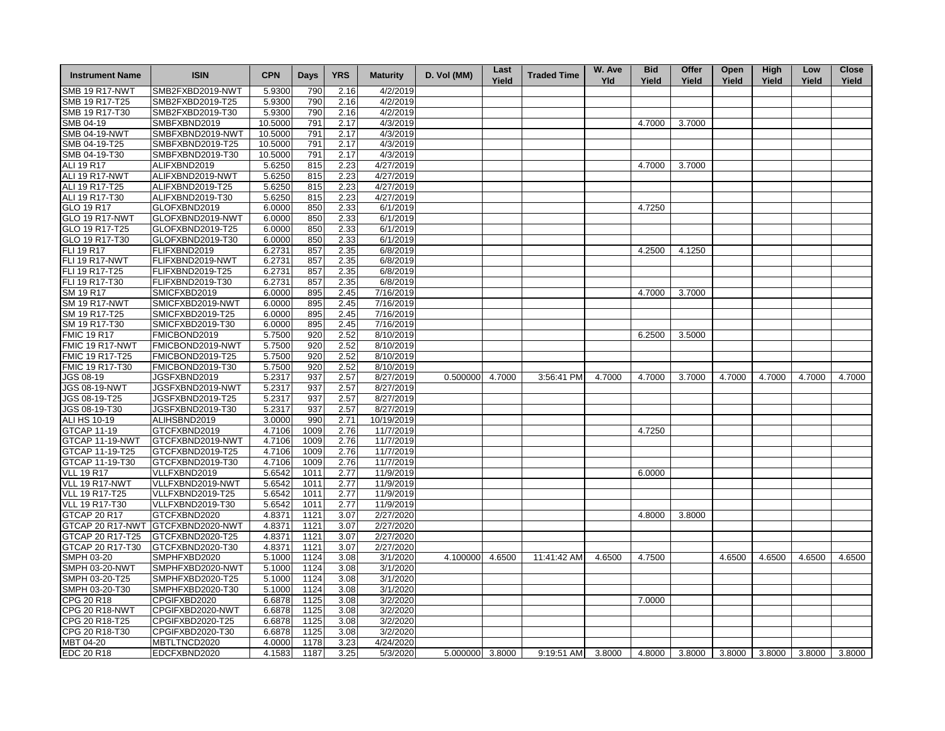| <b>Instrument Name</b> | <b>ISIN</b>                       | <b>CPN</b> | Days | <b>YRS</b>   | <b>Maturity</b> | D. Vol (MM)     | Last<br>Yield | <b>Traded Time</b> | W. Ave<br>Yld | <b>Bid</b><br>Yield | Offer<br>Yield | Open<br>Yield        | <b>High</b><br>Yield | Low<br>Yield | <b>Close</b><br>Yield |
|------------------------|-----------------------------------|------------|------|--------------|-----------------|-----------------|---------------|--------------------|---------------|---------------------|----------------|----------------------|----------------------|--------------|-----------------------|
| <b>SMB 19 R17-NWT</b>  | SMB2FXBD2019-NWT                  | 5.9300     | 790  | 2.16         | 4/2/2019        |                 |               |                    |               |                     |                |                      |                      |              |                       |
| SMB 19 R17-T25         | SMB2FXBD2019-T25                  | 5.9300     | 790  | 2.16         | 4/2/2019        |                 |               |                    |               |                     |                |                      |                      |              |                       |
| SMB 19 R17-T30         | SMB2FXBD2019-T30                  | 5.9300     | 790  | 2.16         | 4/2/2019        |                 |               |                    |               |                     |                |                      |                      |              |                       |
| SMB 04-19              | SMBFXBND2019                      | 10.5000    | 791  | 2.17         | 4/3/2019        |                 |               |                    |               | 4.7000              | 3.7000         |                      |                      |              |                       |
| <b>SMB 04-19-NWT</b>   | SMBFXBND2019-NWT                  | 10.5000    | 791  | 2.17         | 4/3/2019        |                 |               |                    |               |                     |                |                      |                      |              |                       |
| SMB 04-19-T25          | SMBFXBND2019-T25                  | 10.5000    | 791  | 2.17         | 4/3/2019        |                 |               |                    |               |                     |                |                      |                      |              |                       |
| SMB 04-19-T30          | SMBFXBND2019-T30                  | 10.5000    | 791  | 2.17         | 4/3/2019        |                 |               |                    |               |                     |                |                      |                      |              |                       |
| ALI 19 R17             | ALIFXBND2019                      | 5.6250     | 815  | 2.23         | 4/27/2019       |                 |               |                    |               | 4.7000              | 3.7000         |                      |                      |              |                       |
| ALI 19 R17-NWT         | ALIFXBND2019-NWT                  | 5.6250     | 815  | 2.23         | 4/27/2019       |                 |               |                    |               |                     |                |                      |                      |              |                       |
| ALI 19 R17-T25         | ALIFXBND2019-T25                  | 5.6250     | 815  | 2.23         | 4/27/2019       |                 |               |                    |               |                     |                |                      |                      |              |                       |
| ALI 19 R17-T30         | ALIFXBND2019-T30                  | 5.6250     | 815  | 2.23         | 4/27/2019       |                 |               |                    |               |                     |                |                      |                      |              |                       |
| GLO 19 R17             | GLOFXBND2019                      | 6.0000     | 850  | 2.33         | 6/1/2019        |                 |               |                    |               | 4.7250              |                |                      |                      |              |                       |
| <b>GLO 19 R17-NWT</b>  | GLOFXBND2019-NWT                  | 6.0000     | 850  | 2.33         | 6/1/2019        |                 |               |                    |               |                     |                |                      |                      |              |                       |
| GLO 19 R17-T25         | GLOFXBND2019-T25                  | 6.0000     | 850  | 2.33         | 6/1/2019        |                 |               |                    |               |                     |                |                      |                      |              |                       |
| GLO 19 R17-T30         | GLOFXBND2019-T30                  | 6.0000     | 850  |              | 6/1/2019        |                 |               |                    |               |                     |                |                      |                      |              |                       |
| FLI 19 R17             | FLIFXBND2019                      | 6.2731     | 857  | 2.33         | 6/8/2019        |                 |               |                    |               | 4.2500              | 4.1250         |                      |                      |              |                       |
|                        |                                   | 6.2731     | 857  | 2.35<br>2.35 | 6/8/2019        |                 |               |                    |               |                     |                |                      |                      |              |                       |
| <b>FLI 19 R17-NWT</b>  | FLIFXBND2019-NWT                  |            |      |              |                 |                 |               |                    |               |                     |                |                      |                      |              |                       |
| FLI 19 R17-T25         | FLIFXBND2019-T25                  | 6.2731     | 857  | 2.35         | 6/8/2019        |                 |               |                    |               |                     |                |                      |                      |              |                       |
| FLI 19 R17-T30         | FLIFXBND2019-T30                  | 6.2731     | 857  | 2.35         | 6/8/2019        |                 |               |                    |               |                     |                |                      |                      |              |                       |
| SM 19 R17              | SMICFXBD2019                      | 6.0000     | 895  | 2.45         | 7/16/2019       |                 |               |                    |               | 4.7000              | 3.7000         |                      |                      |              |                       |
| <b>SM 19 R17-NWT</b>   | SMICFXBD2019-NWT                  | 6.0000     | 895  | 2.45         | 7/16/2019       |                 |               |                    |               |                     |                |                      |                      |              |                       |
| SM 19 R17-T25          | SMICFXBD2019-T25                  | 6.0000     | 895  | 2.45         | 7/16/2019       |                 |               |                    |               |                     |                |                      |                      |              |                       |
| SM 19 R17-T30          | SMICFXBD2019-T30                  | 6.0000     | 895  | 2.45         | 7/16/2019       |                 |               |                    |               |                     |                |                      |                      |              |                       |
| <b>FMIC 19 R17</b>     | FMICBOND2019                      | 5.7500     | 920  | 2.52         | 8/10/2019       |                 |               |                    |               | 6.2500              | 3.5000         |                      |                      |              |                       |
| FMIC 19 R17-NWT        | FMICBOND2019-NWT                  | 5.7500     | 920  | 2.52         | 8/10/2019       |                 |               |                    |               |                     |                |                      |                      |              |                       |
| FMIC 19 R17-T25        | FMICBOND2019-T25                  | 5.7500     | 920  | 2.52         | 8/10/2019       |                 |               |                    |               |                     |                |                      |                      |              |                       |
| FMIC 19 R17-T30        | FMICBOND2019-T30                  | 5.7500     | 920  | 2.52         | 8/10/2019       |                 |               |                    |               |                     |                |                      |                      |              |                       |
| <b>JGS 08-19</b>       | JGSFXBND2019                      | 5.2317     | 937  | 2.57         | 8/27/2019       | 0.500000        | 4.7000        | 3:56:41 PM         | 4.7000        | 4.7000              | 3.7000         | 4.7000               | 4.7000               | 4.7000       | 4.7000                |
| <b>JGS 08-19-NWT</b>   | JGSFXBND2019-NWT                  | 5.2317     | 937  | 2.57         | 8/27/2019       |                 |               |                    |               |                     |                |                      |                      |              |                       |
| JGS 08-19-T25          | JGSFXBND2019-T25                  | 5.2317     | 937  | 2.57         | 8/27/2019       |                 |               |                    |               |                     |                |                      |                      |              |                       |
| JGS 08-19-T30          | JGSFXBND2019-T30                  | 5.2317     | 937  | 2.57         | 8/27/2019       |                 |               |                    |               |                     |                |                      |                      |              |                       |
| ALI HS 10-19           | ALIHSBND2019                      | 3.0000     | 990  | 2.71         | 10/19/2019      |                 |               |                    |               |                     |                |                      |                      |              |                       |
| <b>GTCAP 11-19</b>     | GTCFXBND2019                      | 4.7106     | 1009 | 2.76         | 11/7/2019       |                 |               |                    |               | 4.7250              |                |                      |                      |              |                       |
| GTCAP 11-19-NWT        | GTCFXBND2019-NWT                  | 4.7106     | 1009 | 2.76         | 11/7/2019       |                 |               |                    |               |                     |                |                      |                      |              |                       |
| GTCAP 11-19-T25        | GTCFXBND2019-T25                  | 4.7106     | 1009 | 2.76         | 11/7/2019       |                 |               |                    |               |                     |                |                      |                      |              |                       |
| GTCAP 11-19-T30        | GTCFXBND2019-T30                  | 4.7106     | 1009 | 2.76         | 11/7/2019       |                 |               |                    |               |                     |                |                      |                      |              |                       |
| <b>VLL 19 R17</b>      | VLLFXBND2019                      | 5.6542     | 1011 | 2.77         | 11/9/2019       |                 |               |                    |               | 6.0000              |                |                      |                      |              |                       |
| VLL 19 R17-NWT         | VLLFXBND2019-NWT                  | 5.6542     | 1011 | 2.77         | 11/9/2019       |                 |               |                    |               |                     |                |                      |                      |              |                       |
| <b>VLL 19 R17-T25</b>  | VLLFXBND2019-T25                  | 5.6542     | 1011 | 2.77         | 11/9/2019       |                 |               |                    |               |                     |                |                      |                      |              |                       |
| <b>VLL 19 R17-T30</b>  | VLLFXBND2019-T30                  | 5.6542     | 1011 | 2.77         | 11/9/2019       |                 |               |                    |               |                     |                |                      |                      |              |                       |
| <b>GTCAP 20 R17</b>    | GTCFXBND2020                      | 4.8371     | 1121 | 3.07         | 2/27/2020       |                 |               |                    |               | 4.8000              | 3.8000         |                      |                      |              |                       |
|                        | GTCAP 20 R17-NWT GTCFXBND2020-NWT | 4.8371     | 1121 | 3.07         | 2/27/2020       |                 |               |                    |               |                     |                |                      |                      |              |                       |
| GTCAP 20 R17-T25       | GTCFXBND2020-T25                  | 4.8371     | 1121 | 3.07         | 2/27/2020       |                 |               |                    |               |                     |                |                      |                      |              |                       |
| GTCAP 20 R17-T30       | GTCFXBND2020-T30                  | 4.8371     | 1121 | 3.07         | 2/27/2020       |                 |               |                    |               |                     |                |                      |                      |              |                       |
| SMPH 03-20             | SMPHFXBD2020                      | 5.1000     | 1124 | 3.08         | 3/1/2020        | 4.100000        | 4.6500        | 11:41:42 AM        | 4.6500        | 4.7500              |                | 4.6500               | 4.6500               | 4.6500       | 4.6500                |
| <b>SMPH 03-20-NWT</b>  | SMPHFXBD2020-NWT                  | 5.1000     | 1124 | 3.08         | 3/1/2020        |                 |               |                    |               |                     |                |                      |                      |              |                       |
| SMPH 03-20-T25         | SMPHFXBD2020-T25                  | 5.1000     | 1124 | 3.08         | 3/1/2020        |                 |               |                    |               |                     |                |                      |                      |              |                       |
| SMPH 03-20-T30         | SMPHFXBD2020-T30                  | 5.1000     | 1124 | 3.08         | 3/1/2020        |                 |               |                    |               |                     |                |                      |                      |              |                       |
| CPG 20 R18             | CPGIFXBD2020                      | 6.6878     | 1125 | 3.08         | 3/2/2020        |                 |               |                    |               | 7.0000              |                |                      |                      |              |                       |
| <b>CPG 20 R18-NWT</b>  | CPGIFXBD2020-NWT                  | 6.6878     | 1125 | 3.08         | 3/2/2020        |                 |               |                    |               |                     |                |                      |                      |              |                       |
| CPG 20 R18-T25         | CPGIFXBD2020-T25                  | 6.6878     | 1125 | 3.08         | 3/2/2020        |                 |               |                    |               |                     |                |                      |                      |              |                       |
| CPG 20 R18-T30         | CPGIFXBD2020-T30                  | 6.6878     | 1125 | 3.08         | 3/2/2020        |                 |               |                    |               |                     |                |                      |                      |              |                       |
| MBT 04-20              | MBTLTNCD2020                      | 4.0000     | 1178 | 3.23         | 4/24/2020       |                 |               |                    |               |                     |                |                      |                      |              |                       |
| <b>EDC 20 R18</b>      | EDCFXBND2020                      | 4.1583     | 1187 | 3.25         | 5/3/2020        | 5.000000 3.8000 |               | 9:19:51 AM         | 3.8000        | 4.8000              |                | 3.8000 3.8000 3.8000 |                      | 3.8000       | 3.8000                |
|                        |                                   |            |      |              |                 |                 |               |                    |               |                     |                |                      |                      |              |                       |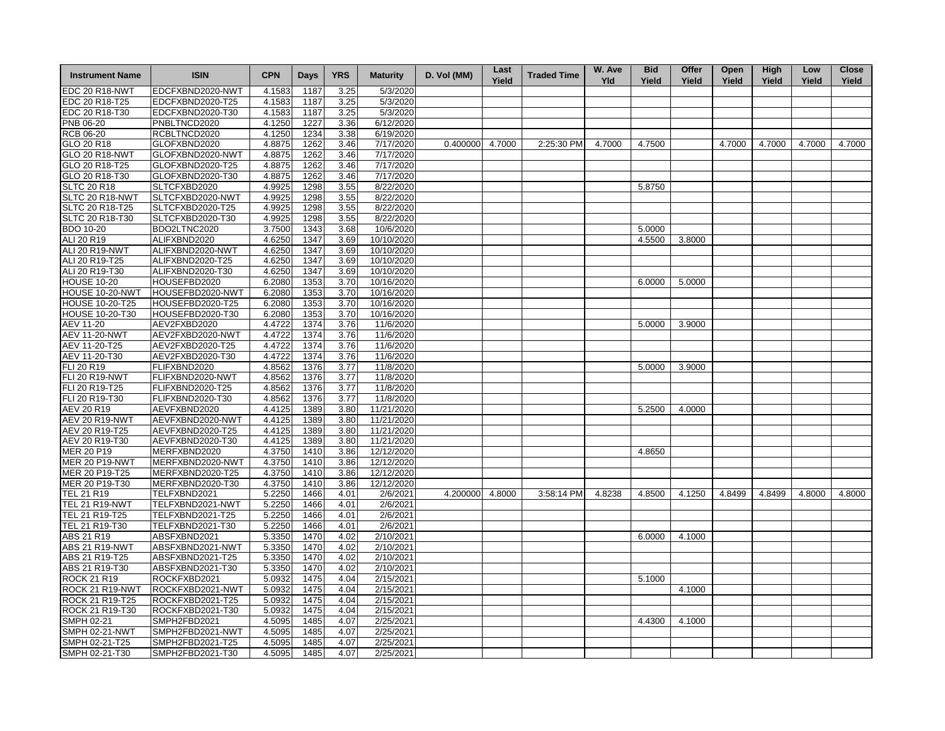| <b>Instrument Name</b>             | <b>ISIN</b>      | <b>CPN</b>       | Days         | <b>YRS</b>   | <b>Maturity</b>        | D. Vol (MM)     | Last<br>Yield | <b>Traded Time</b> | W. Ave<br>Yld | <b>Bid</b><br>Yield | Offer<br>Yield | Open<br>Yield | <b>High</b><br>Yield | Low<br>Yield | <b>Close</b><br>Yield |
|------------------------------------|------------------|------------------|--------------|--------------|------------------------|-----------------|---------------|--------------------|---------------|---------------------|----------------|---------------|----------------------|--------------|-----------------------|
| <b>EDC 20 R18-NWT</b>              | EDCFXBND2020-NWT | 4.1583           | 1187         | 3.25         | 5/3/2020               |                 |               |                    |               |                     |                |               |                      |              |                       |
| EDC 20 R18-T25                     | EDCFXBND2020-T25 | 4.1583           | 1187         | 3.25         | 5/3/2020               |                 |               |                    |               |                     |                |               |                      |              |                       |
| EDC 20 R18-T30                     | EDCFXBND2020-T30 | 4.1583           | 1187         | 3.25         | 5/3/2020               |                 |               |                    |               |                     |                |               |                      |              |                       |
| <b>PNB 06-20</b>                   | PNBLTNCD2020     | 4.1250           | 1227         | 3.36         | 6/12/2020              |                 |               |                    |               |                     |                |               |                      |              |                       |
| <b>RCB 06-20</b>                   | RCBLTNCD2020     | 4.1250           | 1234         | 3.38         | 6/19/2020              |                 |               |                    |               |                     |                |               |                      |              |                       |
| GLO 20 R18                         | GLOFXBND2020     | 4.8875           | 1262         | 3.46         | 7/17/2020              | 0.400000 4.7000 |               | 2:25:30 PM         | 4.7000        | 4.7500              |                | 4.7000        | 4.7000               | 4.7000       | 4.7000                |
| <b>GLO 20 R18-NWT</b>              | GLOFXBND2020-NWT | 4.8875           | 1262         | 3.46         | 7/17/2020              |                 |               |                    |               |                     |                |               |                      |              |                       |
| GLO 20 R18-T25                     | GLOFXBND2020-T25 | 4.8875           | 1262         | 3.46         | 7/17/2020              |                 |               |                    |               |                     |                |               |                      |              |                       |
| GLO 20 R18-T30                     | GLOFXBND2020-T30 | 4.8875           | 1262         | 3.46         | 7/17/2020              |                 |               |                    |               |                     |                |               |                      |              |                       |
| <b>SLTC 20 R18</b>                 | SLTCFXBD2020     | 4.9925           | 1298         | 3.55         | 8/22/2020              |                 |               |                    |               | 5.8750              |                |               |                      |              |                       |
| SLTC 20 R18-NWT                    | SLTCFXBD2020-NWT | 4.9925           | 1298         | 3.55         | 8/22/2020              |                 |               |                    |               |                     |                |               |                      |              |                       |
| SLTC 20 R18-T25                    | SLTCFXBD2020-T25 | 4.9925           | 1298         | 3.55         | 8/22/2020              |                 |               |                    |               |                     |                |               |                      |              |                       |
| SLTC 20 R18-T30                    | SLTCFXBD2020-T30 | 4.9925           | 1298         | 3.55         | 8/22/2020              |                 |               |                    |               |                     |                |               |                      |              |                       |
| <b>BDO 10-20</b>                   | BDO2LTNC2020     | 3.7500           | 1343         | 3.68         | 10/6/2020              |                 |               |                    |               | 5.0000              |                |               |                      |              |                       |
| ALI 20 R19                         | ALIFXBND2020     | 4.6250           | 1347         | 3.69         | 10/10/2020             |                 |               |                    |               | 4.5500              | 3.8000         |               |                      |              |                       |
| ALI 20 R19-NWT                     | ALIFXBND2020-NWT | 4.6250           | 1347         | 3.69         | 10/10/2020             |                 |               |                    |               |                     |                |               |                      |              |                       |
| ALI 20 R19-T25                     | ALIFXBND2020-T25 | 4.6250           | 1347         | 3.69         | 10/10/2020             |                 |               |                    |               |                     |                |               |                      |              |                       |
| ALI 20 R19-T30                     | ALIFXBND2020-T30 | 4.6250           | 1347         | 3.69         | 10/10/2020             |                 |               |                    |               |                     |                |               |                      |              |                       |
| <b>HOUSE 10-20</b>                 | HOUSEFBD2020     | 6.2080           | 1353         | 3.70         | 10/16/2020             |                 |               |                    |               | 6.0000              | 5.0000         |               |                      |              |                       |
| HOUSE 10-20-NWT                    | HOUSEFBD2020-NWT | 6.2080           | 1353         | 3.70         | 10/16/2020             |                 |               |                    |               |                     |                |               |                      |              |                       |
| <b>HOUSE 10-20-T25</b>             | HOUSEFBD2020-T25 | 6.2080           | 1353         | 3.70         | 10/16/2020             |                 |               |                    |               |                     |                |               |                      |              |                       |
| HOUSE 10-20-T30                    | HOUSEFBD2020-T30 | 6.2080           | 1353         | 3.70         | 10/16/2020             |                 |               |                    |               |                     |                |               |                      |              |                       |
| AEV 11-20                          | AEV2FXBD2020     | 4.4722           | 1374         | 3.76         | 11/6/2020              |                 |               |                    |               | 5.0000              | 3.9000         |               |                      |              |                       |
| <b>AEV 11-20-NWT</b>               | AEV2FXBD2020-NWT | 4.4722           | 1374         | 3.76         | 11/6/2020              |                 |               |                    |               |                     |                |               |                      |              |                       |
| AEV 11-20-T25                      | AEV2FXBD2020-T25 | 4.4722           | 1374         | 3.76         | 11/6/2020              |                 |               |                    |               |                     |                |               |                      |              |                       |
| AEV 11-20-T30                      | AEV2FXBD2020-T30 | 4.4722           | 1374         | 3.76         | 11/6/2020              |                 |               |                    |               |                     |                |               |                      |              |                       |
| FLI 20 R19                         | FLIFXBND2020     | 4.8562           | 1376         | 3.77         | 11/8/2020              |                 |               |                    |               | 5.0000              | 3.9000         |               |                      |              |                       |
| <b>FLI 20 R19-NWT</b>              | FLIFXBND2020-NWT | 4.8562           | 1376         | 3.77         | 11/8/2020              |                 |               |                    |               |                     |                |               |                      |              |                       |
| FLI 20 R19-T25                     | FLIFXBND2020-T25 | 4.8562           | 1376         | 3.77         | 11/8/2020              |                 |               |                    |               |                     |                |               |                      |              |                       |
| FLI 20 R19-T30                     | FLIFXBND2020-T30 | 4.8562           | 1376         | 3.77         | 11/8/2020              |                 |               |                    |               |                     |                |               |                      |              |                       |
| AEV 20 R19                         | AEVFXBND2020     | 4.4125           | 1389         | 3.80         | 11/21/2020             |                 |               |                    |               | 5.2500              | 4.0000         |               |                      |              |                       |
| AEV 20 R19-NWT                     | AEVFXBND2020-NWT | 4.4125           | 1389         | 3.80         | 11/21/2020             |                 |               |                    |               |                     |                |               |                      |              |                       |
| AEV 20 R19-T25                     | AEVFXBND2020-T25 | 4.4125           | 1389         | 3.80         | 11/21/2020             |                 |               |                    |               |                     |                |               |                      |              |                       |
| AEV 20 R19-T30                     | AEVFXBND2020-T30 | 4.4125           | 1389         | 3.80         | 11/21/2020             |                 |               |                    |               |                     |                |               |                      |              |                       |
| <b>MER 20 P19</b>                  | MERFXBND2020     | 4.3750           | 1410         | 3.86         | 12/12/2020             |                 |               |                    |               | 4.8650              |                |               |                      |              |                       |
| <b>MER 20 P19-NWT</b>              | MERFXBND2020-NWT | 4.3750           | 1410         | 3.86         | 12/12/2020             |                 |               |                    |               |                     |                |               |                      |              |                       |
| MER 20 P19-T25                     | MERFXBND2020-T25 | 4.3750           | 1410         | 3.86         | 12/12/2020             |                 |               |                    |               |                     |                |               |                      |              |                       |
| MER 20 P19-T30                     | MERFXBND2020-T30 | 4.3750           | 1410         | 3.86         | 12/12/2020             |                 |               |                    |               |                     |                |               |                      |              |                       |
| TEL 21 R19                         | TELFXBND2021     | 5.2250           | 1466         | 4.01         | 2/6/2021               | 4.200000 4.8000 |               | 3:58:14 PM         | 4.8238        | 4.8500              | 4.1250         | 4.8499        | 4.8499               | 4.8000       | 4.8000                |
| <b>TEL 21 R19-NWT</b>              | TELFXBND2021-NWT | 5.2250           | 1466         | 4.01         | 2/6/2021               |                 |               |                    |               |                     |                |               |                      |              |                       |
| TEL 21 R19-T25                     | TELFXBND2021-T25 | 5.2250           | 1466         | 4.01         | 2/6/2021               |                 |               |                    |               |                     |                |               |                      |              |                       |
| TEL 21 R19-T30                     | TELFXBND2021-T30 | 5.2250           | 1466         | 4.01         | 2/6/2021               |                 |               |                    |               |                     |                |               |                      |              |                       |
| ABS 21 R19                         | ABSFXBND2021     | 5.3350           | 1470         | 4.02         | 2/10/2021              |                 |               |                    |               | 6.0000              | 4.1000         |               |                      |              |                       |
| <b>ABS 21 R19-NWT</b>              | ABSFXBND2021-NWT | 5.3350           | 1470         | 4.02         | 2/10/2021              |                 |               |                    |               |                     |                |               |                      |              |                       |
| ABS 21 R19-T25                     | ABSFXBND2021-T25 | 5.3350           | 1470         | 4.02         | $\sqrt{2}/10/2021$     |                 |               |                    |               |                     |                |               |                      |              |                       |
| ABS 21 R19-T30                     | ABSFXBND2021-T30 | 5.3350           | 1470         | 4.02         | 2/10/2021              |                 |               |                    |               |                     |                |               |                      |              |                       |
| <b>ROCK 21 R19</b>                 | ROCKFXBD2021     | 5.0932           | 1475         | 4.04         | 2/15/2021              |                 |               |                    |               | 5.1000              |                |               |                      |              |                       |
|                                    | ROCKFXBD2021-NWT | 5.0932           | 1475         | 4.04         | 2/15/2021              |                 |               |                    |               |                     | 4.1000         |               |                      |              |                       |
| ROCK 21 R19-NWT                    |                  |                  |              |              |                        |                 |               |                    |               |                     |                |               |                      |              |                       |
| ROCK 21 R19-T25<br>ROCK 21 R19-T30 | ROCKFXBD2021-T25 | 5.0932<br>5.0932 | 1475<br>1475 | 4.04<br>4.04 | 2/15/2021<br>2/15/2021 |                 |               |                    |               |                     |                |               |                      |              |                       |
| <b>SMPH 02-21</b>                  | ROCKFXBD2021-T30 |                  |              |              |                        |                 |               |                    |               | 4.4300              |                |               |                      |              |                       |
|                                    | SMPH2FBD2021     | 4.5095           | 1485         | 4.07         | 2/25/2021              |                 |               |                    |               |                     | 4.1000         |               |                      |              |                       |
| <b>SMPH 02-21-NWT</b>              | SMPH2FBD2021-NWT | 4.5095           | 1485         | 4.07         | 2/25/2021              |                 |               |                    |               |                     |                |               |                      |              |                       |
| SMPH 02-21-T25                     | SMPH2FBD2021-T25 | 4.5095           | 1485         | 4.07         | 2/25/2021              |                 |               |                    |               |                     |                |               |                      |              |                       |
| SMPH 02-21-T30                     | SMPH2FBD2021-T30 | 4.5095           | 1485         | 4.07         | 2/25/2021              |                 |               |                    |               |                     |                |               |                      |              |                       |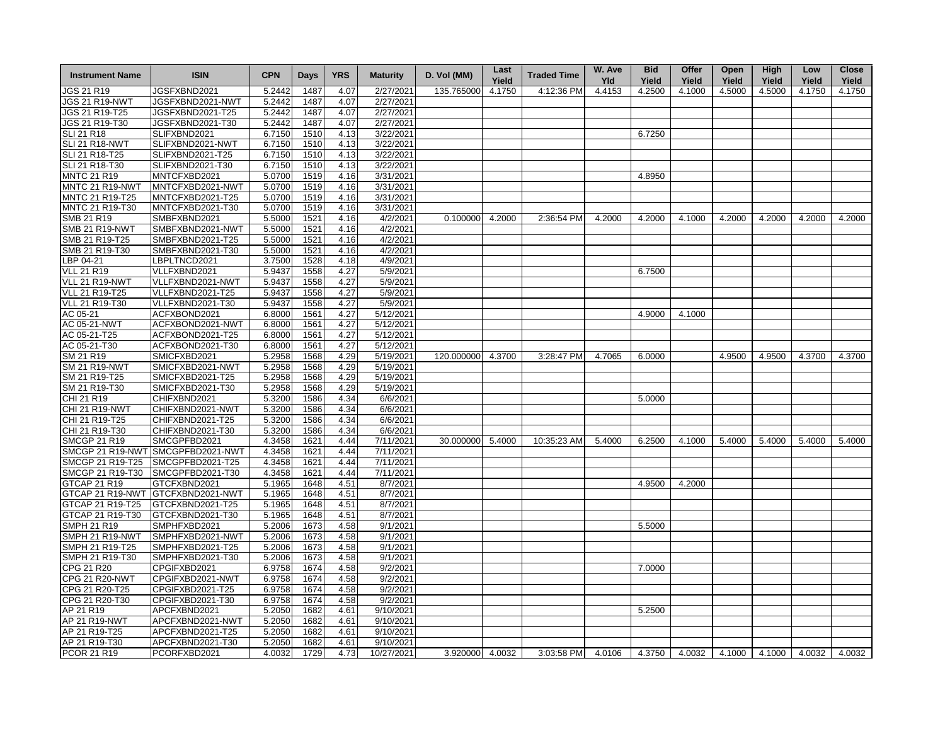| <b>Instrument Name</b> | <b>ISIN</b>                       | <b>CPN</b>       | Days         | <b>YRS</b> | <b>Maturity</b> | D. Vol (MM)     | Last<br>Yield | <b>Traded Time</b> | W. Ave<br>Yld | <b>Bid</b><br>Yield | Offer<br>Yield | Open<br>Yield | High<br>Yield | Low<br>Yield | <b>Close</b><br>Yield |
|------------------------|-----------------------------------|------------------|--------------|------------|-----------------|-----------------|---------------|--------------------|---------------|---------------------|----------------|---------------|---------------|--------------|-----------------------|
| <b>JGS 21 R19</b>      | JGSFXBND2021                      | 5.2442           | 1487         | 4.07       | 2/27/2021       | 135.765000      | 4.1750        | 4:12:36 PM         | 4.4153        | 4.2500              | 4.1000         | 4.5000        | 4.5000        | 4.1750       | 4.1750                |
| <b>JGS 21 R19-NWT</b>  | JGSFXBND2021-NWT                  | 5.2442           | 1487         | 4.07       | 2/27/2021       |                 |               |                    |               |                     |                |               |               |              |                       |
| JGS 21 R19-T25         | JGSFXBND2021-T25                  | 5.2442           | 1487         | 4.07       | 2/27/2021       |                 |               |                    |               |                     |                |               |               |              |                       |
| JGS 21 R19-T30         | JGSFXBND2021-T30                  | 5.2442           | 1487         | 4.07       | 2/27/2021       |                 |               |                    |               |                     |                |               |               |              |                       |
| <b>SLI 21 R18</b>      | SLIFXBND2021                      | 6.7150           | 1510         | 4.13       | 3/22/2021       |                 |               |                    |               | 6.7250              |                |               |               |              |                       |
| SLI 21 R18-NWT         | SLIFXBND2021-NWT                  | 6.7150           | 1510         | 4.13       | 3/22/2021       |                 |               |                    |               |                     |                |               |               |              |                       |
| SLI 21 R18-T25         | SLIFXBND2021-T25                  | 6.7150           | 1510         | 4.13       | 3/22/2021       |                 |               |                    |               |                     |                |               |               |              |                       |
| SLI 21 R18-T30         | SLIFXBND2021-T30                  | 6.7150           | 1510         | 4.13       | 3/22/2021       |                 |               |                    |               |                     |                |               |               |              |                       |
| <b>MNTC 21 R19</b>     | MNTCFXBD2021                      | 5.0700           | 1519         | 4.16       | 3/31/2021       |                 |               |                    |               | 4.8950              |                |               |               |              |                       |
| MNTC 21 R19-NWT        | MNTCFXBD2021-NWT                  | 5.0700           | 1519         | 4.16       | 3/31/2021       |                 |               |                    |               |                     |                |               |               |              |                       |
| MNTC 21 R19-T25        | MNTCFXBD2021-T25                  | 5.0700           | 1519         | 4.16       | 3/31/2021       |                 |               |                    |               |                     |                |               |               |              |                       |
| MNTC 21 R19-T30        | MNTCFXBD2021-T30                  | 5.0700           | 1519         | 4.16       | 3/31/2021       |                 |               |                    |               |                     |                |               |               |              |                       |
| <b>SMB 21 R19</b>      | SMBFXBND2021                      | 5.5000           | 1521         | 4.16       | 4/2/2021        | 0.100000        | 4.2000        | 2:36:54 PM         | 4.2000        | 4.2000              | 4.1000         | 4.2000        | 4.2000        | 4.2000       | 4.2000                |
| <b>SMB 21 R19-NWT</b>  | SMBFXBND2021-NWT                  | 5.5000           | 1521         | 4.16       | 4/2/2021        |                 |               |                    |               |                     |                |               |               |              |                       |
| SMB 21 R19-T25         | SMBFXBND2021-T25                  |                  |              | 4.16       | 4/2/2021        |                 |               |                    |               |                     |                |               |               |              |                       |
| SMB 21 R19-T30         | SMBFXBND2021-T30                  | 5.5000<br>5.5000 | 1521<br>1521 | 4.16       | 4/2/2021        |                 |               |                    |               |                     |                |               |               |              |                       |
|                        |                                   | 3.7500           |              | 4.18       | 4/9/2021        |                 |               |                    |               |                     |                |               |               |              |                       |
| LBP 04-21              | LBPLTNCD2021                      |                  | 1528         |            |                 |                 |               |                    |               |                     |                |               |               |              |                       |
| <b>VLL 21 R19</b>      | VLLFXBND2021                      | 5.9437           | 1558         | 4.27       | 5/9/2021        |                 |               |                    |               | 6.7500              |                |               |               |              |                       |
| VLL 21 R19-NWT         | VLLFXBND2021-NWT                  | 5.9437           | 1558         | 4.27       | 5/9/2021        |                 |               |                    |               |                     |                |               |               |              |                       |
| VLL 21 R19-T25         | VLLFXBND2021-T25                  | 5.9437           | 1558         | 4.27       | 5/9/2021        |                 |               |                    |               |                     |                |               |               |              |                       |
| VLL 21 R19-T30         | VLLFXBND2021-T30                  | 5.9437           | 1558         | 4.27       | 5/9/2021        |                 |               |                    |               |                     |                |               |               |              |                       |
| AC 05-21               | ACFXBOND2021                      | 6.8000           | 1561         | 4.27       | 5/12/2021       |                 |               |                    |               | 4.9000              | 4.1000         |               |               |              |                       |
| AC 05-21-NWT           | ACFXBOND2021-NWT                  | 6.8000           | 1561         | 4.27       | 5/12/2021       |                 |               |                    |               |                     |                |               |               |              |                       |
| AC 05-21-T25           | ACFXBOND2021-T25                  | 6.8000           | 1561         | 4.27       | 5/12/2021       |                 |               |                    |               |                     |                |               |               |              |                       |
| AC 05-21-T30           | ACFXBOND2021-T30                  | 6.8000           | 1561         | 4.27       | 5/12/2021       |                 |               |                    |               |                     |                |               |               |              |                       |
| SM 21 R19              | SMICFXBD2021                      | 5.2958           | 1568         | 4.29       | 5/19/2021       | 120.000000      | 4.3700        | 3:28:47 PM         | 4.7065        | 6.0000              |                | 4.9500        | 4.9500        | 4.3700       | 4.3700                |
| <b>SM 21 R19-NWT</b>   | SMICFXBD2021-NWT                  | 5.2958           | 1568         | 4.29       | 5/19/2021       |                 |               |                    |               |                     |                |               |               |              |                       |
| SM 21 R19-T25          | SMICFXBD2021-T25                  | 5.2958           | 1568         | 4.29       | 5/19/2021       |                 |               |                    |               |                     |                |               |               |              |                       |
| SM 21 R19-T30          | SMICFXBD2021-T30                  | 5.2958           | 1568         | 4.29       | 5/19/2021       |                 |               |                    |               |                     |                |               |               |              |                       |
| CHI 21 R19             | CHIFXBND2021                      | 5.3200           | 1586         | 4.34       | 6/6/2021        |                 |               |                    |               | 5.0000              |                |               |               |              |                       |
| <b>CHI 21 R19-NWT</b>  | CHIFXBND2021-NWT                  | 5.3200           | 1586         | 4.34       | 6/6/2021        |                 |               |                    |               |                     |                |               |               |              |                       |
| CHI 21 R19-T25         | CHIFXBND2021-T25                  | 5.3200           | 1586         | 4.34       | 6/6/2021        |                 |               |                    |               |                     |                |               |               |              |                       |
| CHI 21 R19-T30         | CHIFXBND2021-T30                  | 5.3200           | 1586         | 4.34       | 6/6/2021        |                 |               |                    |               |                     |                |               |               |              |                       |
| <b>SMCGP 21 R19</b>    | SMCGPFBD2021                      | 4.3458           | 1621         | 4.44       | 7/11/2021       | 30.000000       | 5.4000        | 10:35:23 AM        | 5.4000        | 6.2500              | 4.1000         | 5.4000        | 5.4000        | 5.4000       | 5.4000                |
|                        | SMCGP 21 R19-NWT SMCGPFBD2021-NWT | 4.3458           | 1621         | 4.44       | 7/11/2021       |                 |               |                    |               |                     |                |               |               |              |                       |
| SMCGP 21 R19-T25       | SMCGPFBD2021-T25                  | 4.3458           | 1621         | 4.44       | 7/11/2021       |                 |               |                    |               |                     |                |               |               |              |                       |
| SMCGP 21 R19-T30       | SMCGPFBD2021-T30                  | 4.3458           | 1621         | 4.44       | 7/11/2021       |                 |               |                    |               |                     |                |               |               |              |                       |
| GTCAP 21 R19           | GTCFXBND2021                      | 5.1965           | 1648         | 4.51       | 8/7/2021        |                 |               |                    |               | 4.9500              | 4.2000         |               |               |              |                       |
|                        | GTCAP 21 R19-NWT GTCFXBND2021-NWT | 5.1965           | 1648         | 4.51       | 8/7/2021        |                 |               |                    |               |                     |                |               |               |              |                       |
| GTCAP 21 R19-T25       | GTCFXBND2021-T25                  | 5.1965           | 1648         | 4.51       | 8/7/2021        |                 |               |                    |               |                     |                |               |               |              |                       |
| GTCAP 21 R19-T30       | GTCFXBND2021-T30                  | 5.1965           | 1648         | 4.51       | 8/7/2021        |                 |               |                    |               |                     |                |               |               |              |                       |
| <b>SMPH 21 R19</b>     | SMPHFXBD2021                      | 5.2006           | 1673         | 4.58       | 9/1/2021        |                 |               |                    |               | 5.5000              |                |               |               |              |                       |
| SMPH 21 R19-NWT        | SMPHFXBD2021-NWT                  | 5.2006           | 1673         | 4.58       | 9/1/2021        |                 |               |                    |               |                     |                |               |               |              |                       |
| SMPH 21 R19-T25        | SMPHFXBD2021-T25                  | 5.2006           | 1673         | 4.58       | 9/1/2021        |                 |               |                    |               |                     |                |               |               |              |                       |
| SMPH 21 R19-T30        | SMPHFXBD2021-T30                  | 5.2006           | 1673         | 4.58       | 9/1/2021        |                 |               |                    |               |                     |                |               |               |              |                       |
| CPG 21 R20             | CPGIFXBD2021                      | 6.9758           | 1674         | 4.58       | 9/2/2021        |                 |               |                    |               | 7.0000              |                |               |               |              |                       |
| <b>CPG 21 R20-NWT</b>  | CPGIFXBD2021-NWT                  | 6.9758           | 1674         | 4.58       | 9/2/2021        |                 |               |                    |               |                     |                |               |               |              |                       |
| CPG 21 R20-T25         | CPGIFXBD2021-T25                  | 6.9758           | 1674         | 4.58       | 9/2/2021        |                 |               |                    |               |                     |                |               |               |              |                       |
| CPG 21 R20-T30         | CPGIFXBD2021-T30                  | 6.9758           | 1674         | 4.58       | 9/2/2021        |                 |               |                    |               |                     |                |               |               |              |                       |
| AP 21 R19              | APCFXBND2021                      | 5.2050           | 1682         | 4.61       | 9/10/2021       |                 |               |                    |               | 5.2500              |                |               |               |              |                       |
| AP 21 R19-NWT          | APCFXBND2021-NWT                  | 5.2050           | 1682         | 4.61       | 9/10/2021       |                 |               |                    |               |                     |                |               |               |              |                       |
| AP 21 R19-T25          |                                   |                  |              |            |                 |                 |               |                    |               |                     |                |               |               |              |                       |
|                        | APCFXBND2021-T25                  | 5.2050           | 1682         | 4.61       | 9/10/2021       |                 |               |                    |               |                     |                |               |               |              |                       |
| AP 21 R19-T30          | APCFXBND2021-T30                  | 5.2050           | 1682         | 4.61       | 9/10/2021       |                 |               |                    |               |                     |                |               |               |              |                       |
| PCOR 21 R19            | PCORFXBD2021                      | 4.0032           | 1729         | 4.73       | 10/27/2021      | 3.920000 4.0032 |               | 3:03:58 PM         | 4.0106        | 4.3750              | 4.0032         |               | 4.1000 4.1000 | 4.0032       | 4.0032                |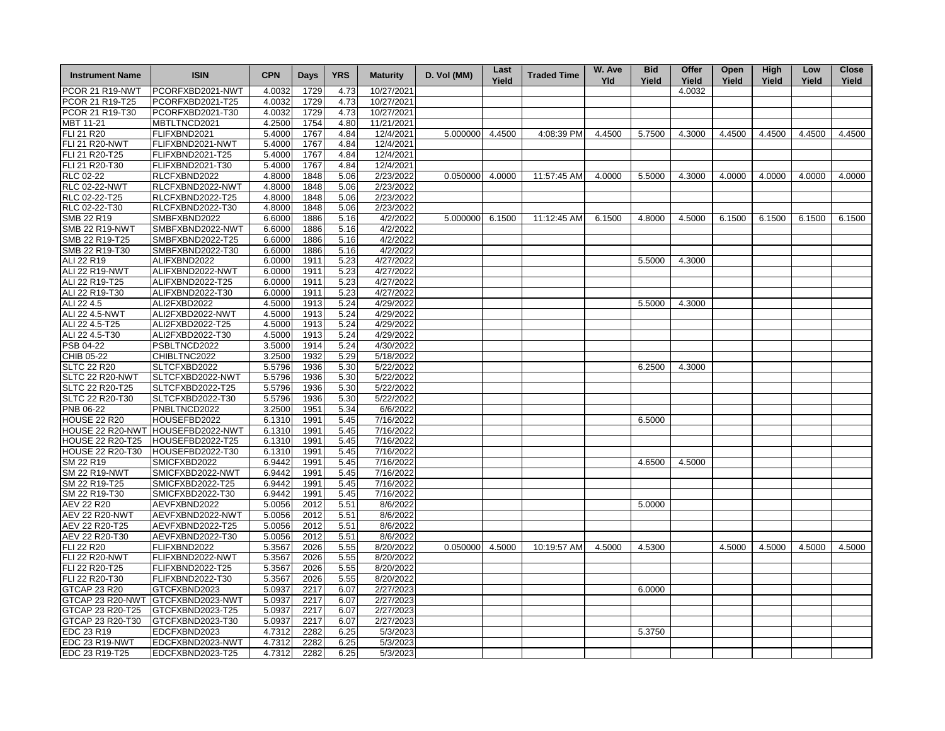| <b>Instrument Name</b>  | <b>ISIN</b>                       | <b>CPN</b> | Days | <b>YRS</b>   | <b>Maturity</b> | D. Vol (MM)     | Last<br>Yield | <b>Traded Time</b> | W. Ave<br>Yld | <b>Bid</b><br>Yield | Offer<br>Yield | Open<br>Yield | High<br>Yield | Low<br>Yield | <b>Close</b><br>Yield |
|-------------------------|-----------------------------------|------------|------|--------------|-----------------|-----------------|---------------|--------------------|---------------|---------------------|----------------|---------------|---------------|--------------|-----------------------|
| PCOR 21 R19-NWT         | PCORFXBD2021-NWT                  | 4.0032     | 1729 | 4.73         | 10/27/2021      |                 |               |                    |               |                     | 4.0032         |               |               |              |                       |
| PCOR 21 R19-T25         | PCORFXBD2021-T25                  | 4.0032     | 1729 | 4.73         | 10/27/2021      |                 |               |                    |               |                     |                |               |               |              |                       |
| PCOR 21 R19-T30         | PCORFXBD2021-T30                  | 4.0032     | 1729 | 4.73         | 10/27/2021      |                 |               |                    |               |                     |                |               |               |              |                       |
| MBT 11-21               | MBTLTNCD2021                      | 4.2500     | 1754 | 4.80         | 11/21/2021      |                 |               |                    |               |                     |                |               |               |              |                       |
| FLI 21 R20              | FLIFXBND2021                      | 5.4000     | 1767 | 4.84         | 12/4/2021       | 5.000000        | 4.4500        | 4:08:39 PM         | 4.4500        | 5.7500              | 4.3000         | 4.4500        | 4.4500        | 4.4500       | 4.4500                |
| FLI 21 R20-NWT          | FLIFXBND2021-NWT                  | 5.4000     | 1767 | 4.84         | 12/4/2021       |                 |               |                    |               |                     |                |               |               |              |                       |
| FLI 21 R20-T25          | FLIFXBND2021-T25                  | 5.4000     | 1767 | 4.84         | 12/4/2021       |                 |               |                    |               |                     |                |               |               |              |                       |
| FLI 21 R20-T30          | FLIFXBND2021-T30                  | 5.4000     | 1767 | 4.84         | 12/4/2021       |                 |               |                    |               |                     |                |               |               |              |                       |
| RLC 02-22               | RLCFXBND2022                      | 4.8000     | 1848 | 5.06         | 2/23/2022       | 0.050000        | 4.0000        | 11:57:45 AM        | 4.0000        | 5.5000              | 4.3000         | 4.0000        | 4.0000        | 4.0000       | 4.0000                |
| <b>RLC 02-22-NWT</b>    | RLCFXBND2022-NWT                  | 4.8000     | 1848 | 5.06         | 2/23/2022       |                 |               |                    |               |                     |                |               |               |              |                       |
| RLC 02-22-T25           | RLCFXBND2022-T25                  | 4.8000     | 1848 | 5.06         | 2/23/2022       |                 |               |                    |               |                     |                |               |               |              |                       |
| RLC 02-22-T30           | RLCFXBND2022-T30                  | 4.8000     | 1848 | 5.06         | 2/23/2022       |                 |               |                    |               |                     |                |               |               |              |                       |
| SMB 22 R19              | SMBFXBND2022                      | 6.6000     | 1886 | 5.16         | 4/2/2022        | 5.000000        | 6.1500        | 11:12:45 AM        | 6.1500        | 4.8000              | 4.5000         | 6.1500        | 6.1500        | 6.1500       | 6.1500                |
| <b>SMB 22 R19-NWT</b>   | SMBFXBND2022-NWT                  | 6.6000     | 1886 | 5.16         | 4/2/2022        |                 |               |                    |               |                     |                |               |               |              |                       |
| SMB 22 R19-T25          | SMBFXBND2022-T25                  | 6.6000     | 1886 | 5.16         | 4/2/2022        |                 |               |                    |               |                     |                |               |               |              |                       |
| SMB 22 R19-T30          | SMBFXBND2022-T30                  | 6.6000     | 1886 | 5.16         | 4/2/2022        |                 |               |                    |               |                     |                |               |               |              |                       |
| ALI 22 R19              | ALIFXBND2022                      | 6.0000     | 1911 | 5.23         | 4/27/2022       |                 |               |                    |               | 5.5000              | 4.3000         |               |               |              |                       |
| ALI 22 R19-NWT          | ALIFXBND2022-NWT                  | 6.0000     | 1911 | 5.23         | 4/27/2022       |                 |               |                    |               |                     |                |               |               |              |                       |
| ALI 22 R19-T25          | ALIFXBND2022-T25                  | 6.0000     | 1911 | 5.23         | 4/27/2022       |                 |               |                    |               |                     |                |               |               |              |                       |
| ALI 22 R19-T30          | ALIFXBND2022-T30                  | 6.0000     | 1911 | 5.23         | 4/27/2022       |                 |               |                    |               |                     |                |               |               |              |                       |
| ALI 22 4.5              | ALI2FXBD2022                      | 4.5000     | 1913 | 5.24         | 4/29/2022       |                 |               |                    |               | 5.5000              | 4.3000         |               |               |              |                       |
| <b>ALI 22 4.5-NWT</b>   | ALI2FXBD2022-NWT                  | 4.5000     | 1913 | 5.24         | 4/29/2022       |                 |               |                    |               |                     |                |               |               |              |                       |
| ALI 22 4.5-T25          | ALI2FXBD2022-T25                  | 4.5000     | 1913 | 5.24         | 4/29/2022       |                 |               |                    |               |                     |                |               |               |              |                       |
| ALI 22 4.5-T30          | ALI2FXBD2022-T30                  | 4.5000     | 1913 | 5.24         | 4/29/2022       |                 |               |                    |               |                     |                |               |               |              |                       |
| PSB 04-22               | PSBLTNCD2022                      | 3.5000     | 1914 | 5.24         | 4/30/2022       |                 |               |                    |               |                     |                |               |               |              |                       |
| CHIB 05-22              | CHIBLTNC2022                      | 3.2500     | 1932 | 5.29         | 5/18/2022       |                 |               |                    |               |                     |                |               |               |              |                       |
| <b>SLTC 22 R20</b>      | SLTCFXBD2022                      | 5.5796     | 1936 | 5.30         | 5/22/2022       |                 |               |                    |               | 6.2500              | 4.3000         |               |               |              |                       |
| SLTC 22 R20-NWT         | SLTCFXBD2022-NWT                  | 5.5796     | 1936 | 5.30         | 5/22/2022       |                 |               |                    |               |                     |                |               |               |              |                       |
| SLTC 22 R20-T25         | SLTCFXBD2022-T25                  | 5.5796     | 1936 | 5.30         | 5/22/2022       |                 |               |                    |               |                     |                |               |               |              |                       |
| SLTC 22 R20-T30         | SLTCFXBD2022-T30                  | 5.5796     | 1936 | 5.30         | 5/22/2022       |                 |               |                    |               |                     |                |               |               |              |                       |
| <b>PNB 06-22</b>        | PNBLTNCD2022                      | 3.2500     | 1951 | 5.34         | 6/6/2022        |                 |               |                    |               |                     |                |               |               |              |                       |
| <b>HOUSE 22 R20</b>     | HOUSEFBD2022                      | 6.1310     | 1991 | 5.45         | 7/16/2022       |                 |               |                    |               | 6.5000              |                |               |               |              |                       |
|                         | HOUSE 22 R20-NWT HOUSEFBD2022-NWT | 6.1310     | 1991 | 5.45         | 7/16/2022       |                 |               |                    |               |                     |                |               |               |              |                       |
| <b>HOUSE 22 R20-T25</b> | HOUSEFBD2022-T25                  | 6.1310     | 1991 | 5.45         | 7/16/2022       |                 |               |                    |               |                     |                |               |               |              |                       |
| <b>HOUSE 22 R20-T30</b> | HOUSEFBD2022-T30                  | 6.1310     | 1991 | 5.45         | 7/16/2022       |                 |               |                    |               |                     |                |               |               |              |                       |
| SM 22 R19               | SMICFXBD2022                      | 6.9442     | 1991 | 5.45         | 7/16/2022       |                 |               |                    |               | 4.6500              | 4.5000         |               |               |              |                       |
| <b>SM 22 R19-NWT</b>    | SMICFXBD2022-NWT                  | 6.9442     | 1991 | 5.45         | 7/16/2022       |                 |               |                    |               |                     |                |               |               |              |                       |
| SM 22 R19-T25           | SMICFXBD2022-T25                  | 6.9442     | 1991 | 5.45         | 7/16/2022       |                 |               |                    |               |                     |                |               |               |              |                       |
| SM 22 R19-T30           | SMICFXBD2022-T30                  | 6.9442     | 1991 | 5.45         | 7/16/2022       |                 |               |                    |               |                     |                |               |               |              |                       |
| <b>AEV 22 R20</b>       | AEVFXBND2022                      | 5.0056     | 2012 |              | 8/6/2022        |                 |               |                    |               | 5.0000              |                |               |               |              |                       |
| <b>AEV 22 R20-NWT</b>   | AEVFXBND2022-NWT                  | 5.0056     | 2012 | 5.51<br>5.51 | 8/6/2022        |                 |               |                    |               |                     |                |               |               |              |                       |
| AEV 22 R20-T25          | AEVFXBND2022-T25                  | 5.0056     | 2012 | 5.51         | 8/6/2022        |                 |               |                    |               |                     |                |               |               |              |                       |
| AEV 22 R20-T30          |                                   |            | 2012 |              | 8/6/2022        |                 |               |                    |               |                     |                |               |               |              |                       |
|                         | AEVFXBND2022-T30                  | 5.0056     |      | 5.51         |                 |                 |               | 10:19:57 AM        |               |                     |                |               |               |              |                       |
| FLI 22 R20              | FLIFXBND2022                      | 5.3567     | 2026 | 5.55         | 8/20/2022       | 0.050000 4.5000 |               |                    | 4.5000        | 4.5300              |                | 4.5000        | 4.5000        | 4.5000       | 4.5000                |
| <b>FLI 22 R20-NWT</b>   | FLIFXBND2022-NWT                  | 5.3567     | 2026 | 5.55         | 8/20/2022       |                 |               |                    |               |                     |                |               |               |              |                       |
| FLI 22 R20-T25          | FLIFXBND2022-T25                  | 5.3567     | 2026 | 5.55         | 8/20/2022       |                 |               |                    |               |                     |                |               |               |              |                       |
| FLI 22 R20-T30          | FLIFXBND2022-T30                  | 5.3567     | 2026 | 5.55         | 8/20/2022       |                 |               |                    |               |                     |                |               |               |              |                       |
| <b>GTCAP 23 R20</b>     | GTCFXBND2023                      | 5.0937     | 2217 | 6.07         | 2/27/2023       |                 |               |                    |               | 6.0000              |                |               |               |              |                       |
| GTCAP 23 R20-NWT        | GTCFXBND2023-NWT                  | 5.0937     | 2217 | 6.07         | 2/27/2023       |                 |               |                    |               |                     |                |               |               |              |                       |
| GTCAP 23 R20-T25        | GTCFXBND2023-T25                  | 5.0937     | 2217 | 6.07         | 2/27/2023       |                 |               |                    |               |                     |                |               |               |              |                       |
| GTCAP 23 R20-T30        | GTCFXBND2023-T30                  | 5.0937     | 2217 | 6.07         | 2/27/2023       |                 |               |                    |               |                     |                |               |               |              |                       |
| EDC 23 R19              | EDCFXBND2023                      | 4.7312     | 2282 | 6.25         | 5/3/2023        |                 |               |                    |               | 5.3750              |                |               |               |              |                       |
| EDC 23 R19-NWT          | EDCFXBND2023-NWT                  | 4.7312     | 2282 | 6.25         | 5/3/2023        |                 |               |                    |               |                     |                |               |               |              |                       |
| EDC 23 R19-T25          | EDCFXBND2023-T25                  | 4.7312     | 2282 | 6.25         | 5/3/2023        |                 |               |                    |               |                     |                |               |               |              |                       |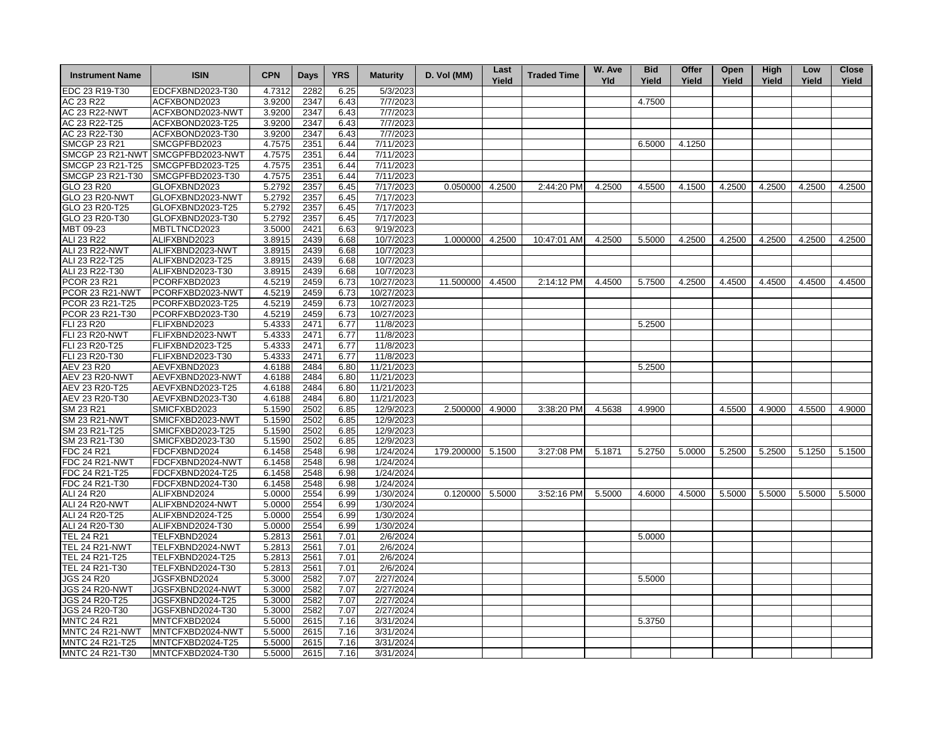| <b>Instrument Name</b> | <b>ISIN</b>                       | <b>CPN</b> | Days         | <b>YRS</b> | <b>Maturity</b> | D. Vol (MM) | Last<br>Yield | <b>Traded Time</b> | W. Ave<br><b>Yld</b> | <b>Bid</b><br>Yield | Offer<br>Yield | Open<br>Yield | <b>High</b><br>Yield | Low<br>Yield | <b>Close</b><br>Yield |
|------------------------|-----------------------------------|------------|--------------|------------|-----------------|-------------|---------------|--------------------|----------------------|---------------------|----------------|---------------|----------------------|--------------|-----------------------|
| EDC 23 R19-T30         | EDCFXBND2023-T30                  | 4.7312     | 2282         | 6.25       | 5/3/2023        |             |               |                    |                      |                     |                |               |                      |              |                       |
| AC 23 R22              | ACFXBOND2023                      | 3.9200     | 2347         | 6.43       | 7/7/2023        |             |               |                    |                      | 4.7500              |                |               |                      |              |                       |
| <b>AC 23 R22-NWT</b>   | ACFXBOND2023-NWT                  | 3.9200     | 2347         | 6.43       | 7/7/2023        |             |               |                    |                      |                     |                |               |                      |              |                       |
| AC 23 R22-T25          | ACFXBOND2023-T25                  | 3.9200     | 2347         | 6.43       | 7/7/2023        |             |               |                    |                      |                     |                |               |                      |              |                       |
| AC 23 R22-T30          | ACFXBOND2023-T30                  | 3.9200     | 2347         | 6.43       | 7/7/2023        |             |               |                    |                      |                     |                |               |                      |              |                       |
| <b>SMCGP 23 R21</b>    | SMCGPFBD2023                      | 4.7575     | 2351         | 6.44       | 7/11/2023       |             |               |                    |                      | 6.5000              | 4.1250         |               |                      |              |                       |
|                        | SMCGP 23 R21-NWT SMCGPFBD2023-NWT | 4.7575     | 2351         | 6.44       | 7/11/2023       |             |               |                    |                      |                     |                |               |                      |              |                       |
| SMCGP 23 R21-T25       | SMCGPFBD2023-T25                  | 4.7575     | 2351         | 6.44       | 7/11/2023       |             |               |                    |                      |                     |                |               |                      |              |                       |
| SMCGP 23 R21-T30       | SMCGPFBD2023-T30                  | 4.7575     | 2351         | 6.44       | 7/11/2023       |             |               |                    |                      |                     |                |               |                      |              |                       |
| GLO 23 R20             | GLOFXBND2023                      | 5.2792     | 2357         | 6.45       | 7/17/2023       | 0.050000    | 4.2500        | 2:44:20 PM         | 4.2500               | 4.5500              | 4.1500         | 4.2500        | 4.2500               | 4.2500       | 4.2500                |
| <b>GLO 23 R20-NWT</b>  | GLOFXBND2023-NWT                  | 5.2792     | 2357         | 6.45       | 7/17/2023       |             |               |                    |                      |                     |                |               |                      |              |                       |
| GLO 23 R20-T25         | GLOFXBND2023-T25                  | 5.2792     | 2357         | 6.45       | 7/17/2023       |             |               |                    |                      |                     |                |               |                      |              |                       |
| GLO 23 R20-T30         | GLOFXBND2023-T30                  | 5.2792     | 2357         | 6.45       | 7/17/2023       |             |               |                    |                      |                     |                |               |                      |              |                       |
| MBT 09-23              | MBTLTNCD2023                      | 3.5000     | 2421         | 6.63       | 9/19/2023       |             |               |                    |                      |                     |                |               |                      |              |                       |
| ALI 23 R22             | ALIFXBND2023                      | 3.8915     | 2439         | 6.68       | 10/7/2023       | 1.000000    | 4.2500        | 10:47:01 AM        | 4.2500               | 5.5000              | 4.2500         | 4.2500        | 4.2500               | 4.2500       | 4.2500                |
| <b>ALI 23 R22-NWT</b>  | ALIFXBND2023-NWT                  | 3.8915     | 2439         | 6.68       | 10/7/2023       |             |               |                    |                      |                     |                |               |                      |              |                       |
| ALI 23 R22-T25         | ALIFXBND2023-T25                  | 3.8915     | 2439         | 6.68       | 10/7/2023       |             |               |                    |                      |                     |                |               |                      |              |                       |
| ALI 23 R22-T30         | ALIFXBND2023-T30                  | 3.8915     | 2439         | 6.68       | 10/7/2023       |             |               |                    |                      |                     |                |               |                      |              |                       |
| <b>PCOR 23 R21</b>     | PCORFXBD2023                      | 4.5219     | 2459         | 6.73       | 10/27/2023      | 11.500000   | 4.4500        | 2:14:12 PM         | 4.4500               | 5.7500              | 4.2500         | 4.4500        | 4.4500               | 4.4500       | 4.4500                |
| PCOR 23 R21-NWT        | PCORFXBD2023-NWT                  | 4.5219     | 2459         | 6.73       | 10/27/2023      |             |               |                    |                      |                     |                |               |                      |              |                       |
| PCOR 23 R21-T25        | PCORFXBD2023-T25                  | 4.5219     | 2459         | 6.73       | 10/27/2023      |             |               |                    |                      |                     |                |               |                      |              |                       |
| PCOR 23 R21-T30        | PCORFXBD2023-T30                  | 4.5219     | 2459         | 6.73       | 10/27/2023      |             |               |                    |                      |                     |                |               |                      |              |                       |
| FLI 23 R20             | FLIFXBND2023                      | 5.4333     | 2471         | 6.77       | 11/8/2023       |             |               |                    |                      | 5.2500              |                |               |                      |              |                       |
| <b>FLI 23 R20-NWT</b>  | FLIFXBND2023-NWT                  | 5.4333     | 2471         | 6.77       | 11/8/2023       |             |               |                    |                      |                     |                |               |                      |              |                       |
| FLI 23 R20-T25         | FLIFXBND2023-T25                  | 5.4333     | 2471         | 6.77       | 11/8/2023       |             |               |                    |                      |                     |                |               |                      |              |                       |
| FLI 23 R20-T30         | FLIFXBND2023-T30                  | 5.4333     | 2471         | 6.77       | 11/8/2023       |             |               |                    |                      |                     |                |               |                      |              |                       |
| AEV 23 R20             | AEVFXBND2023                      | 4.6188     | 2484         | 6.80       | 11/21/2023      |             |               |                    |                      | 5.2500              |                |               |                      |              |                       |
| <b>AEV 23 R20-NWT</b>  | AEVFXBND2023-NWT                  | 4.6188     | 2484         | 6.80       | 11/21/2023      |             |               |                    |                      |                     |                |               |                      |              |                       |
| AEV 23 R20-T25         | AEVFXBND2023-T25                  | 4.6188     | 2484         | 6.80       | 11/21/2023      |             |               |                    |                      |                     |                |               |                      |              |                       |
| AEV 23 R20-T30         | AEVFXBND2023-T30                  | 4.6188     |              | 6.80       | 11/21/2023      |             |               |                    |                      |                     |                |               |                      |              |                       |
| SM 23 R21              | SMICFXBD2023                      | 5.1590     | 2484<br>2502 | 6.85       | 12/9/2023       | 2.500000    | 4.9000        | 3:38:20 PM         | 4.5638               | 4.9900              |                | 4.5500        | 4.9000               | 4.5500       | 4.9000                |
| <b>SM 23 R21-NWT</b>   | SMICFXBD2023-NWT                  | 5.1590     | 2502         | 6.85       | 12/9/2023       |             |               |                    |                      |                     |                |               |                      |              |                       |
| SM 23 R21-T25          | SMICFXBD2023-T25                  | 5.1590     |              | 6.85       | 12/9/2023       |             |               |                    |                      |                     |                |               |                      |              |                       |
| SM 23 R21-T30          |                                   |            | 2502         |            | 12/9/2023       |             |               |                    |                      |                     |                |               |                      |              |                       |
|                        | SMICFXBD2023-T30                  | 5.1590     | 2502         | 6.85       |                 |             |               |                    |                      |                     |                |               |                      |              |                       |
| FDC 24 R21             | FDCFXBND2024                      | 6.1458     | 2548         | 6.98       | 1/24/2024       | 179.200000  | 5.1500        | 3:27:08 PM         | 5.1871               | 5.2750              | 5.0000         | 5.2500        | 5.2500               | 5.1250       | 5.1500                |
| <b>FDC 24 R21-NWT</b>  | FDCFXBND2024-NWT                  | 6.1458     | 2548         | 6.98       | 1/24/2024       |             |               |                    |                      |                     |                |               |                      |              |                       |
| FDC 24 R21-T25         | FDCFXBND2024-T25                  | 6.1458     | 2548         | 6.98       | 1/24/2024       |             |               |                    |                      |                     |                |               |                      |              |                       |
| FDC 24 R21-T30         | FDCFXBND2024-T30                  | 6.1458     | 2548         | 6.98       | 1/24/2024       |             |               |                    |                      |                     |                |               |                      |              |                       |
| ALI 24 R20             | ALIFXBND2024                      | 5.0000     | 2554         | 6.99       | 1/30/2024       | 0.120000    | 5.5000        | 3:52:16 PM         | 5.5000               | 4.6000              | 4.5000         | 5.5000        | 5.5000               | 5.5000       | 5.5000                |
| <b>ALI 24 R20-NWT</b>  | ALIFXBND2024-NWT                  | 5.0000     | 2554         | 6.99       | 1/30/2024       |             |               |                    |                      |                     |                |               |                      |              |                       |
| ALI 24 R20-T25         | ALIFXBND2024-T25                  | 5.0000     | 2554         | 6.99       | 1/30/2024       |             |               |                    |                      |                     |                |               |                      |              |                       |
| ALI 24 R20-T30         | ALIFXBND2024-T30                  | 5.0000     | 2554         | 6.99       | 1/30/2024       |             |               |                    |                      |                     |                |               |                      |              |                       |
| <b>TEL 24 R21</b>      | TELFXBND2024                      | 5.2813     | 2561         | 7.01       | 2/6/2024        |             |               |                    |                      | 5.0000              |                |               |                      |              |                       |
| <b>TEL 24 R21-NWT</b>  | TELFXBND2024-NWT                  | 5.2813     | 2561         | 7.01       | 2/6/2024        |             |               |                    |                      |                     |                |               |                      |              |                       |
| TEL 24 R21-T25         | TELFXBND2024-T25                  | 5.2813     | 2561         | 7.01       | 2/6/2024        |             |               |                    |                      |                     |                |               |                      |              |                       |
| TEL 24 R21-T30         | TELFXBND2024-T30                  | 5.2813     | 2561         | 7.01       | 2/6/2024        |             |               |                    |                      |                     |                |               |                      |              |                       |
| <b>JGS 24 R20</b>      | JGSFXBND2024                      | 5.3000     | 2582         | 7.07       | 2/27/2024       |             |               |                    |                      | 5.5000              |                |               |                      |              |                       |
| <b>JGS 24 R20-NWT</b>  | JGSFXBND2024-NWT                  | 5.3000     | 2582         | 7.07       | 2/27/2024       |             |               |                    |                      |                     |                |               |                      |              |                       |
| <b>JGS 24 R20-T25</b>  | JGSFXBND2024-T25                  | 5.3000     | 2582         | 7.07       | 2/27/2024       |             |               |                    |                      |                     |                |               |                      |              |                       |
| JGS 24 R20-T30         | JGSFXBND2024-T30                  | 5.3000     | 2582         | 7.07       | 2/27/2024       |             |               |                    |                      |                     |                |               |                      |              |                       |
| <b>MNTC 24 R21</b>     | MNTCFXBD2024                      | 5.5000     | 2615         | 7.16       | 3/31/2024       |             |               |                    |                      | 5.3750              |                |               |                      |              |                       |
| MNTC 24 R21-NWT        | MNTCFXBD2024-NWT                  | 5.5000     | 2615         | 7.16       | 3/31/2024       |             |               |                    |                      |                     |                |               |                      |              |                       |
| MNTC 24 R21-T25        | MNTCFXBD2024-T25                  | 5.5000     | 2615         | 7.16       | 3/31/2024       |             |               |                    |                      |                     |                |               |                      |              |                       |
| MNTC 24 R21-T30        | MNTCFXBD2024-T30                  | 5.5000     | 2615         | 7.16       | 3/31/2024       |             |               |                    |                      |                     |                |               |                      |              |                       |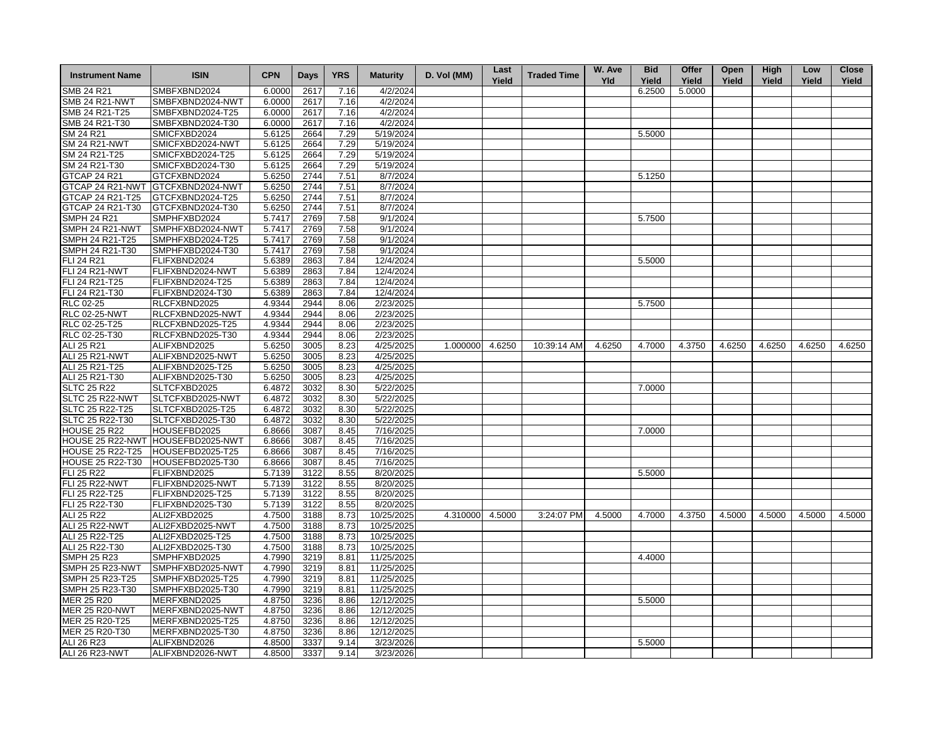| <b>Instrument Name</b>  | <b>ISIN</b>                       | <b>CPN</b> | <b>Days</b> | <b>YRS</b>   | <b>Maturity</b> | D. Vol (MM) | Last<br>Yield | <b>Traded Time</b> | W. Ave<br>Yld | <b>Bid</b><br>Yield | Offer<br>Yield | Open<br>Yield | <b>High</b><br>Yield | Low<br>Yield | <b>Close</b><br>Yield |
|-------------------------|-----------------------------------|------------|-------------|--------------|-----------------|-------------|---------------|--------------------|---------------|---------------------|----------------|---------------|----------------------|--------------|-----------------------|
| SMB 24 R21              | SMBFXBND2024                      | 6.0000     | 2617        | 7.16         | 4/2/2024        |             |               |                    |               | 6.2500              | 5.0000         |               |                      |              |                       |
| <b>SMB 24 R21-NWT</b>   | SMBFXBND2024-NWT                  | 6.0000     | 2617        | 7.16         | 4/2/2024        |             |               |                    |               |                     |                |               |                      |              |                       |
| SMB 24 R21-T25          | SMBFXBND2024-T25                  | 6.0000     | 2617        | 7.16         | 4/2/2024        |             |               |                    |               |                     |                |               |                      |              |                       |
| SMB 24 R21-T30          | SMBFXBND2024-T30                  | 6.0000     | 2617        | 7.16         | 4/2/2024        |             |               |                    |               |                     |                |               |                      |              |                       |
| SM 24 R21               | SMICFXBD2024                      | 5.6125     | 2664        | 7.29         | 5/19/2024       |             |               |                    |               | 5.5000              |                |               |                      |              |                       |
| <b>SM 24 R21-NWT</b>    | SMICFXBD2024-NWT                  | 5.6125     | 2664        | 7.29         | 5/19/2024       |             |               |                    |               |                     |                |               |                      |              |                       |
| SM 24 R21-T25           | SMICFXBD2024-T25                  | 5.6125     | 2664        | 7.29         | 5/19/2024       |             |               |                    |               |                     |                |               |                      |              |                       |
| SM 24 R21-T30           | SMICFXBD2024-T30                  | 5.6125     | 2664        | 7.29         | 5/19/2024       |             |               |                    |               |                     |                |               |                      |              |                       |
| GTCAP 24 R21            | GTCFXBND2024                      | 5.6250     | 2744        | 7.51         | 8/7/2024        |             |               |                    |               | 5.1250              |                |               |                      |              |                       |
|                         | GTCAP 24 R21-NWT GTCFXBND2024-NWT | 5.6250     | 2744        | 7.51         | 8/7/2024        |             |               |                    |               |                     |                |               |                      |              |                       |
| GTCAP 24 R21-T25        | GTCFXBND2024-T25                  | 5.6250     | 2744        | 7.51         | 8/7/2024        |             |               |                    |               |                     |                |               |                      |              |                       |
| GTCAP 24 R21-T30        | GTCFXBND2024-T30                  | 5.6250     | 2744        | 7.51         | 8/7/2024        |             |               |                    |               |                     |                |               |                      |              |                       |
| <b>SMPH 24 R21</b>      | SMPHFXBD2024                      | 5.7417     | 2769        | 7.58         | 9/1/2024        |             |               |                    |               | 5.7500              |                |               |                      |              |                       |
| SMPH 24 R21-NWT         | SMPHFXBD2024-NWT                  | 5.7417     | 2769        | 7.58         | 9/1/2024        |             |               |                    |               |                     |                |               |                      |              |                       |
| SMPH 24 R21-T25         | SMPHFXBD2024-T25                  | 5.7417     | 2769        | 7.58         | 9/1/2024        |             |               |                    |               |                     |                |               |                      |              |                       |
| SMPH 24 R21-T30         | SMPHFXBD2024-T30                  | 5.7417     | 2769        | 7.58         | 9/1/2024        |             |               |                    |               |                     |                |               |                      |              |                       |
| FLI 24 R21              | FLIFXBND2024                      | 5.6389     | 2863        | 7.84         | 12/4/2024       |             |               |                    |               | 5.5000              |                |               |                      |              |                       |
| <b>FLI 24 R21-NWT</b>   | FLIFXBND2024-NWT                  | 5.6389     | 2863        | 7.84         | 12/4/2024       |             |               |                    |               |                     |                |               |                      |              |                       |
| FLI 24 R21-T25          | FLIFXBND2024-T25                  | 5.6389     | 2863        | 7.84         | 12/4/2024       |             |               |                    |               |                     |                |               |                      |              |                       |
| FLI 24 R21-T30          | FLIFXBND2024-T30                  | 5.6389     | 2863        | 7.84         | 12/4/2024       |             |               |                    |               |                     |                |               |                      |              |                       |
| RLC 02-25               | RLCFXBND2025                      | 4.9344     | 2944        | 8.06         | 2/23/2025       |             |               |                    |               | 5.7500              |                |               |                      |              |                       |
| <b>RLC 02-25-NWT</b>    | RLCFXBND2025-NWT                  | 4.9344     | 2944        | 8.06         | 2/23/2025       |             |               |                    |               |                     |                |               |                      |              |                       |
| RLC 02-25-T25           | RLCFXBND2025-T25                  | 4.9344     | 2944        | 8.06         | 2/23/2025       |             |               |                    |               |                     |                |               |                      |              |                       |
| RLC 02-25-T30           | RLCFXBND2025-T30                  | 4.9344     | 2944        | 8.06         | 2/23/2025       |             |               |                    |               |                     |                |               |                      |              |                       |
| ALI 25 R21              | ALIFXBND2025                      | 5.6250     | 3005        | 8.23         | 4/25/2025       | 1.000000    | 4.6250        | 10:39:14 AM        | 4.6250        | 4.7000              | 4.3750         | 4.6250        | 4.6250               | 4.6250       | 4.6250                |
| ALI 25 R21-NWT          | ALIFXBND2025-NWT                  | 5.6250     | 3005        | 8.23         | 4/25/2025       |             |               |                    |               |                     |                |               |                      |              |                       |
| ALI 25 R21-T25          | ALIFXBND2025-T25                  | 5.6250     | 3005        | 8.23         | 4/25/2025       |             |               |                    |               |                     |                |               |                      |              |                       |
| ALI 25 R21-T30          | ALIFXBND2025-T30                  | 5.6250     | 3005        | 8.23         | 4/25/2025       |             |               |                    |               |                     |                |               |                      |              |                       |
| <b>SLTC 25 R22</b>      | SLTCFXBD2025                      | 6.4872     | 3032        | 8.30         | 5/22/2025       |             |               |                    |               | 7.0000              |                |               |                      |              |                       |
| SLTC 25 R22-NWT         | SLTCFXBD2025-NWT                  | 6.4872     | 3032        | 8.30         | 5/22/2025       |             |               |                    |               |                     |                |               |                      |              |                       |
| SLTC 25 R22-T25         | SLTCFXBD2025-T25                  | 6.4872     | 3032        | 8.30         | 5/22/2025       |             |               |                    |               |                     |                |               |                      |              |                       |
| SLTC 25 R22-T30         | SLTCFXBD2025-T30                  | 6.4872     | 3032        | 8.30         | 5/22/2025       |             |               |                    |               |                     |                |               |                      |              |                       |
| <b>HOUSE 25 R22</b>     | HOUSEFBD2025                      | 6.8666     |             |              | 7/16/2025       |             |               |                    |               |                     |                |               |                      |              |                       |
| HOUSE 25 R22-NWT        |                                   |            | 3087        | 8.45<br>8.45 |                 |             |               |                    |               | 7.0000              |                |               |                      |              |                       |
|                         | HOUSEFBD2025-NWT                  | 6.8666     | 3087        |              | 7/16/2025       |             |               |                    |               |                     |                |               |                      |              |                       |
| HOUSE 25 R22-T25        | HOUSEFBD2025-T25                  | 6.8666     | 3087        | 8.45         | 7/16/2025       |             |               |                    |               |                     |                |               |                      |              |                       |
| <b>HOUSE 25 R22-T30</b> | HOUSEFBD2025-T30                  | 6.8666     | 3087        | 8.45         | 7/16/2025       |             |               |                    |               |                     |                |               |                      |              |                       |
| FLI 25 R22              | FLIFXBND2025                      | 5.7139     | 3122        | 8.55         | 8/20/2025       |             |               |                    |               | 5.5000              |                |               |                      |              |                       |
| <b>FLI 25 R22-NWT</b>   | FLIFXBND2025-NWT                  | 5.7139     | 3122        | 8.55         | 8/20/2025       |             |               |                    |               |                     |                |               |                      |              |                       |
| FLI 25 R22-T25          | FLIFXBND2025-T25                  | 5.7139     | 3122        | 8.55         | 8/20/2025       |             |               |                    |               |                     |                |               |                      |              |                       |
| FLI 25 R22-T30          | FLIFXBND2025-T30                  | 5.7139     | 3122        | 8.55         | 8/20/2025       |             |               |                    |               |                     |                |               |                      |              |                       |
| ALI 25 R22              | ALI2FXBD2025                      | 4.7500     | 3188        | 8.73         | 10/25/2025      | 4.310000    | 4.5000        | 3:24:07 PM         | 4.5000        | 4.7000              | 4.3750         | 4.5000        | 4.5000               | 4.5000       | 4.5000                |
| <b>ALI 25 R22-NWT</b>   | ALI2FXBD2025-NWT                  | 4.7500     | 3188        | 8.73         | 10/25/2025      |             |               |                    |               |                     |                |               |                      |              |                       |
| ALI 25 R22-T25          | ALI2FXBD2025-T25                  | 4.7500     | 3188        | 8.73         | 10/25/2025      |             |               |                    |               |                     |                |               |                      |              |                       |
| ALI 25 R22-T30          | ALI2FXBD2025-T30                  | 4.7500     | 3188        | 8.73         | 10/25/2025      |             |               |                    |               |                     |                |               |                      |              |                       |
| <b>SMPH 25 R23</b>      | SMPHFXBD2025                      | 4.7990     | 3219        | 8.81         | 11/25/2025      |             |               |                    |               | 4.4000              |                |               |                      |              |                       |
| SMPH 25 R23-NWT         | SMPHFXBD2025-NWT                  | 4.7990     | 3219        | 8.81         | 11/25/2025      |             |               |                    |               |                     |                |               |                      |              |                       |
| SMPH 25 R23-T25         | SMPHFXBD2025-T25                  | 4.7990     | 3219        | 8.81         | 11/25/2025      |             |               |                    |               |                     |                |               |                      |              |                       |
| SMPH 25 R23-T30         | SMPHFXBD2025-T30                  | 4.7990     | 3219        | 8.81         | 11/25/2025      |             |               |                    |               |                     |                |               |                      |              |                       |
| MER 25 R20              | MERFXBND2025                      | 4.8750     | 3236        | 8.86         | 12/12/2025      |             |               |                    |               | 5.5000              |                |               |                      |              |                       |
| <b>MER 25 R20-NWT</b>   | MERFXBND2025-NWT                  | 4.8750     | 3236        | 8.86         | 12/12/2025      |             |               |                    |               |                     |                |               |                      |              |                       |
| MER 25 R20-T25          | MERFXBND2025-T25                  | 4.8750     | 3236        | 8.86         | 12/12/2025      |             |               |                    |               |                     |                |               |                      |              |                       |
| MER 25 R20-T30          | MERFXBND2025-T30                  | 4.8750     | 3236        | 8.86         | 12/12/2025      |             |               |                    |               |                     |                |               |                      |              |                       |
| ALI 26 R23              | ALIFXBND2026                      | 4.8500     | 3337        | 9.14         | 3/23/2026       |             |               |                    |               | 5.5000              |                |               |                      |              |                       |
| ALI 26 R23-NWT          | ALIFXBND2026-NWT                  | 4.8500     | 3337        | 9.14         | 3/23/2026       |             |               |                    |               |                     |                |               |                      |              |                       |